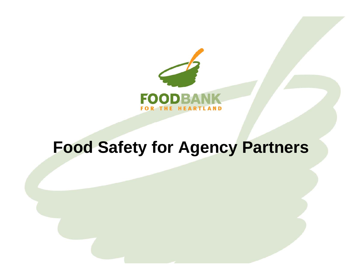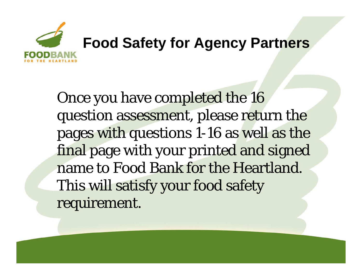

Once you have completed the 16 question assessment, please return the pages with questions 1-16 as well as the final page with your printed and signed name to Food Bank for the Heartland. This will satisfy your food safety requirement.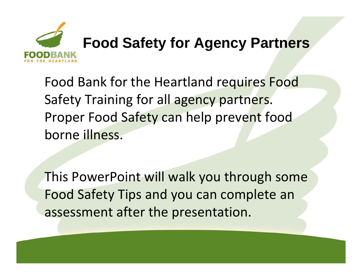

Food Bank for the Heartland re quires Food Safety Training for all agency partners. Proper Food Safety can help prevent food borne illness.

This PowerPoint will walk you through some Food Safety Tips and you can complete an assessment after the presentation.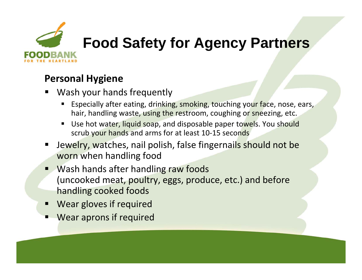

#### **Personal Hygiene**

- ٠ Wash your hands frequently
	- **E** Especially after eating, drinking, smoking, touching your face, nose, ears, hair, handling waste, using the restroom, coughing or sneezing, etc.
	- Use hot water, liquid soap, and disposable paper towels. You should scrub your hands and arms for at least 10-15 seconds
- $\blacksquare$  Jewelry, watches, nail polish, false fingernails should not be worn when handling food
- **URGE 19 Wash hands after handling raw foods** (uncooked meat, poultry, eggs, produce, etc.) and before handling cooked foods
- Wear gloves if required
- Ξ Wear aprons if required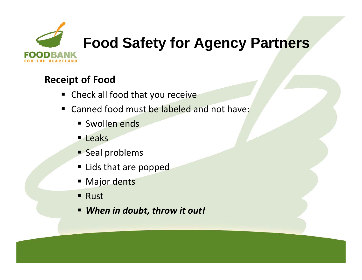

#### **Receipt of Food**

- Check all food that you receive
- **EXA** Canned food must be labeled and not have:
	- **Swollen ends**
	- **Leaks**
	- **Seal problems**
	- **Example 1 Lids that are popped**
	- **E** Major dents
	- **Rust**
	- *When in doubt, throw it out!*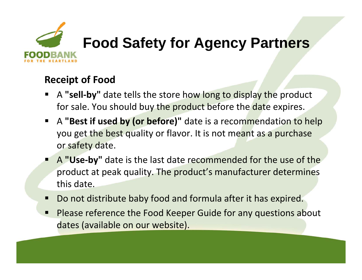

#### **Receipt of Food**

- $\blacksquare$ A **"sell ‐by"** date tells the store how long to display the product for sale. You should buy the product before the date expires.
- A **"Best if used by (or before) "** date is a recommendation to help you get the best quality or flavor. It is not meant as a purchase or safety date.
- **A "Use-by"** date is the last date recommended for the use of the product at peak quality. The product's manufacturer determines this date.
- Do not distribute baby food and formula after it has expired.
- $\blacksquare$ **Please reference the Food Keeper Guide for any questions about** dates (available on our website).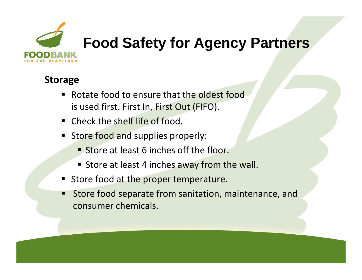

#### **Storage**

- $\blacksquare$ **EXA** Rotate food to ensure that the oldest food is used first. First In, First Out (FIFO).
- **Example 2 Check the shelf life of food.**
- Store food and supplies properly:
	- **Store at least 6 inches off the floor.**
	- **Store at least 4 inches away from the wall.**
- Store food at the proper temperature.
- $\blacksquare$ Store food separate from sanitation, maintenance, and consumer chemicals.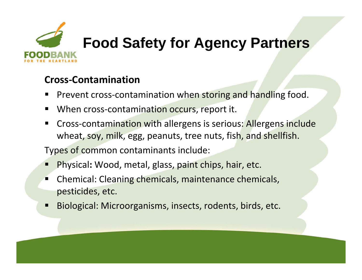

#### **Cross ‐Contamination**

- ٠ ■ Prevent cross-contamination when storing and handling food.
- $\blacksquare$ ■ When cross-contamination occurs, report it.
- $\blacksquare$ ■ Cross-contamination with allergens is serious: Allergens include wheat, soy, milk, egg, peanuts, tree nuts, fish, and shellfish.

Types of common contaminants include:

- Ξ Physical**:** Wood, metal, glass, paint chips, hair, etc.
- $\blacksquare$  Chemical: Cleaning chemicals, maintenance chemicals, pesticides, etc.
- П Biological: Microorganisms, insects, rodents, birds, etc.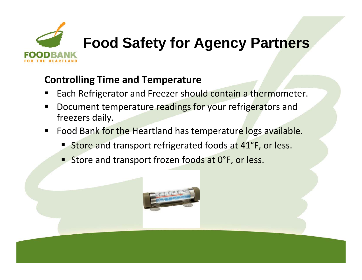

#### **Controlling Time and Temperature**

- ٠ ■ Each Refrigerator and Freezer should contain a thermometer.
- $\blacksquare$  Document temperature readings for your refrigerators and freezers dail y.
- $\blacksquare$ **Food Bank for the Heartland has temperature logs available.** 
	- **Store and transport refrigerated foods at 41°F, or less.**
	- **Store and transport frozen foods at 0** °°F, or less.

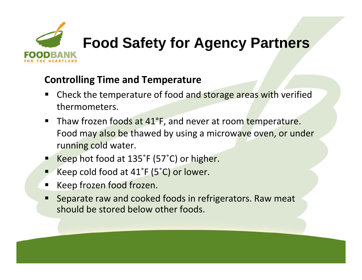

#### **Controlling Time and Temperature**

- ٠ **• Check the temperature of food and storage areas with verified** thermometers.
- $\blacksquare$ ■ Thaw frozen foods at 41° °F, and never at room temperature. Food may also be thawed by using a microwave oven, or under running cold water.
- Keep hot food at 135° °F (57°C) or higher.
- ■∠ ■ Keep cold food at 41°  $\degree$ F (5 $\degree$ C) or lower.
- Keep frozen food frozen.
- $\blacksquare$  Separate raw and cooked foods in refrigerators. Raw meat should be stored below other foods.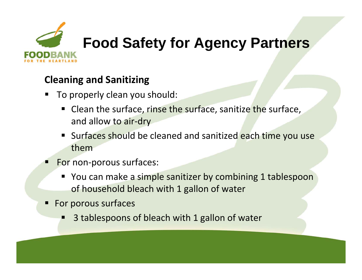

#### **Cleaning and Sanitizing**

- ٠ ■ To properly clean you should:
	- **Clean the surface, rinse the surface, sanitize the surface,** and allow to air-dry
	- **Surfaces should be cleaned and sanitized each time you use** them
- Ξ ■ For non-porous surfaces:
	- You can make a simple sanitizer by combining 1 tablespoon of household bleach with 1 gallon of water
- **For porous surfaces** 
	- $\blacksquare$ 3 tablespoons of bleach with 1 gallon of water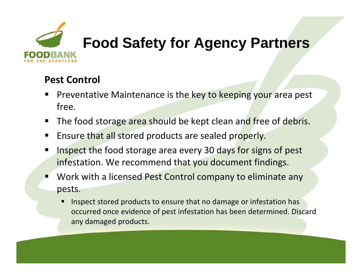

#### **Pest Control**

- ٠ **Preventative Maintenance is the key to keeping your area pest** free.
- $\blacksquare$ **The food storage area should be kept clean and free of debris.**
- $\blacksquare$ **Ensure that all stored products are sealed properly.**
- $\blacksquare$  Inspect the food storage area every 30 days for signs of pest infestation. We recommend that you document findings.
- Ξ ■ Work with a licensed Pest Control company to eliminate any pests.
	- Inspect stored products to ensure that no damage or infestation has occurred once evidence of pest infestation has been determined. Discard any damaged products.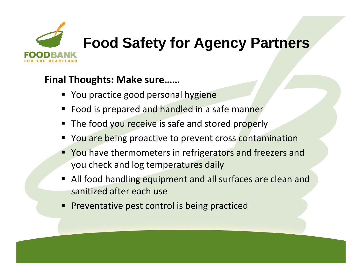

#### **Final Thoughts: Make sure……**

- **Theory Arts Propel Service Service Propel is verted Propel Figure Propel Service Propel Service Propel Service Propel Service Propel Service Propel Service Propel Service Propel Service Propel Service Propel Service P**
- Food is prepared and handled in a safe manner
- **The food you receive is safe and stored properly**
- You are being proactive to prevent cross contamination
- **Theore Thermometers in refrigerators and freezers and Freezers and Freezers and Fragment Struct** you check and log temperatures daily
- All food handling equipment and all surfaces are clean and sanitized after each use
- **Preventative pest control is being practiced**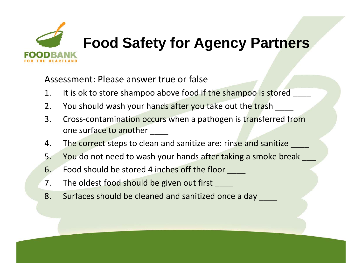

Assessment: Please answer true or false

- $1.$ t is ok to store shampoo above food if the shampoo is stored \_\_\_\_\_
- 2. You should wash your hands after you take out the trash \_\_\_\_\_
- 3. Cross-contamination occurs when a pathogen is t<mark>ran</mark>sferred from one surface to another \_\_\_\_
- 4. The correct steps to clean and sanitize are: rinse and sanitize \_\_\_\_
- 5.. You do not need to wash your hands after taking a smoke break  $\sim$
- 6. Food should be stored 4 inches off the floor \_\_\_\_
- 7. The oldest food should be given out first \_\_\_\_\_
- 8. Surfaces should be cleaned and sanitized once a day \_\_\_\_\_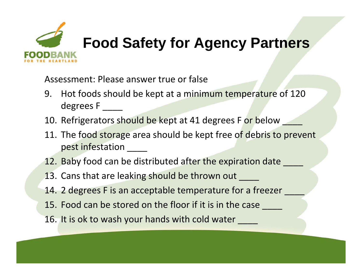

Assessment: Please answer true or false

- 9. Hot foods should be kept at a minimum temperature of 120 degrees F \_\_\_\_
- 10. Refrigerators should be kept at 41 degrees F or below  $\sim$
- 11. The food storage area should be kept free of debris to prevent pest infestation \_\_\_\_\_
- 12. Baby food can be distributed after the expiration date \_\_\_\_\_
- **1**3. Cans that are leaking should be thrown out \_\_\_\_
- 14. 2 degrees F is an acceptable temperature for a freezer  $\sim$
- 15. Food can be stored on the floor if it is in the case \_\_\_\_\_
- 16. It is ok to wash your hands with cold water \_\_\_\_\_